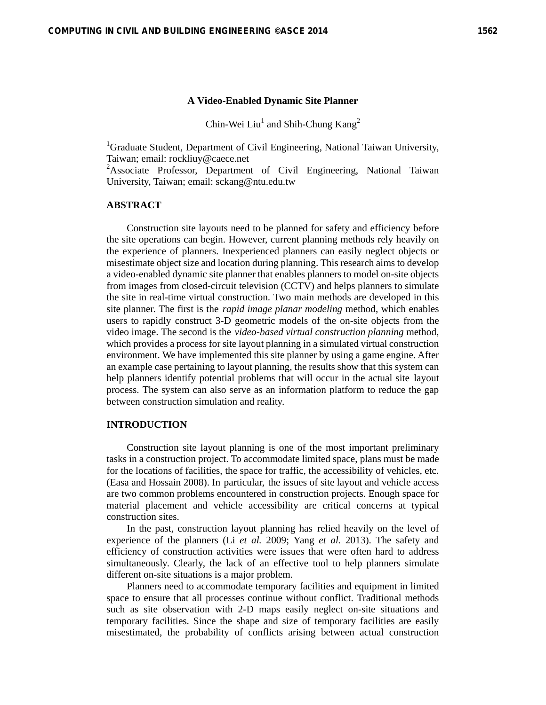#### **A Video-Enabled Dynamic Site Planner**

Chin-Wei  $\text{Liu}^1$  and Shih-Chung  $\text{Kang}^2$ 

<sup>1</sup>Graduate Student, Department of Civil Engineering, National Taiwan University, Taiwan; email: rockliuy@caece.net

<sup>2</sup>Associate Professor, Department of Civil Engineering, National Taiwan University, Taiwan; email: sckang@ntu.edu.tw

# **ABSTRACT**

Construction site layouts need to be planned for safety and efficiency before the site operations can begin. However, current planning methods rely heavily on the experience of planners. Inexperienced planners can easily neglect objects or misestimate object size and location during planning. This research aims to develop a video-enabled dynamic site planner that enables planners to model on-site objects from images from closed-circuit television (CCTV) and helps planners to simulate the site in real-time virtual construction. Two main methods are developed in this site planner. The first is the *rapid image planar modeling* method, which enables users to rapidly construct 3-D geometric models of the on-site objects from the video image. The second is the *video-based virtual construction planning* method, which provides a process for site layout planning in a simulated virtual construction environment. We have implemented this site planner by using a game engine. After an example case pertaining to layout planning, the results show that this system can help planners identify potential problems that will occur in the actual site layout process. The system can also serve as an information platform to reduce the gap between construction simulation and reality.

#### **INTRODUCTION**

Construction site layout planning is one of the most important preliminary tasks in a construction project. To accommodate limited space, plans must be made for the locations of facilities, the space for traffic, the accessibility of vehicles, etc. (Easa and Hossain 2008). In particular, the issues of site layout and vehicle access are two common problems encountered in construction projects. Enough space for material placement and vehicle accessibility are critical concerns at typical construction sites.

In the past, construction layout planning has relied heavily on the level of experience of the planners (Li *et al.* 2009; Yang *et al.* 2013). The safety and efficiency of construction activities were issues that were often hard to address simultaneously. Clearly, the lack of an effective tool to help planners simulate different on-site situations is a major problem.

Planners need to accommodate temporary facilities and equipment in limited space to ensure that all processes continue without conflict. Traditional methods such as site observation with 2-D maps easily neglect on-site situations and temporary facilities. Since the shape and size of temporary facilities are easily misestimated, the probability of conflicts arising between actual construction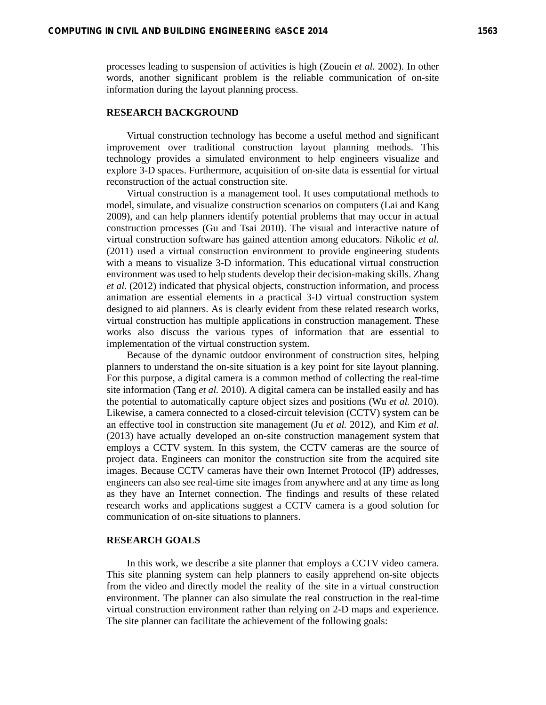## **RESEARCH BACKGROUND**

Virtual construction technology has become a useful method and significant improvement over traditional construction layout planning methods. This technology provides a simulated environment to help engineers visualize and explore 3-D spaces. Furthermore, acquisition of on-site data is essential for virtual reconstruction of the actual construction site.

Virtual construction is a management tool. It uses computational methods to model, simulate, and visualize construction scenarios on computers (Lai and Kang 2009), and can help planners identify potential problems that may occur in actual construction processes (Gu and Tsai 2010). The visual and interactive nature of virtual construction software has gained attention among educators. Nikolic *et al.* (2011) used a virtual construction environment to provide engineering students with a means to visualize 3-D information. This educational virtual construction environment was used to help students develop their decision-making skills. Zhang *et al.* (2012) indicated that physical objects, construction information, and process animation are essential elements in a practical 3-D virtual construction system designed to aid planners. As is clearly evident from these related research works, virtual construction has multiple applications in construction management. These works also discuss the various types of information that are essential to implementation of the virtual construction system.

Because of the dynamic outdoor environment of construction sites, helping planners to understand the on-site situation is a key point for site layout planning. For this purpose, a digital camera is a common method of collecting the real-time site information (Tang *et al.* 2010). A digital camera can be installed easily and has the potential to automatically capture object sizes and positions (Wu *et al.* 2010). Likewise, a camera connected to a closed-circuit television (CCTV) system can be an effective tool in construction site management (Ju *et al.* 2012), and Kim *et al.* (2013) have actually developed an on-site construction management system that employs a CCTV system. In this system, the CCTV cameras are the source of project data. Engineers can monitor the construction site from the acquired site images. Because CCTV cameras have their own Internet Protocol (IP) addresses, engineers can also see real-time site images from anywhere and at any time as long as they have an Internet connection. The findings and results of these related research works and applications suggest a CCTV camera is a good solution for communication of on-site situations to planners.

### **RESEARCH GOALS**

In this work, we describe a site planner that employs a CCTV video camera. This site planning system can help planners to easily apprehend on-site objects from the video and directly model the reality of the site in a virtual construction environment. The planner can also simulate the real construction in the real-time virtual construction environment rather than relying on 2-D maps and experience. The site planner can facilitate the achievement of the following goals: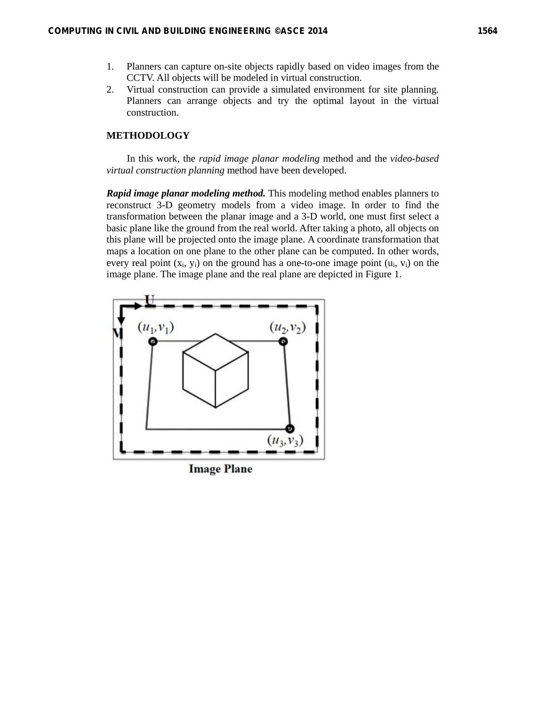- 1. Planners can capture on-site objects rapidly based on video images from the CCTV. All objects will be modeled in virtual construction.
- 2. Virtual construction can provide a simulated environment for site planning. Planners can arrange objects and try the optimal layout in the virtual construction.

# **METHODOLOGY**

In this work, the *rapid image planar modeling* method and the *video-based virtual construction planning* method have been developed.

*Rapid image planar modeling method.* This modeling method enables planners to reconstruct 3-D geometry models from a video image. In order to find the transformation between the planar image and a 3-D world, one must first select a basic plane like the ground from the real world. After taking a photo, all objects on this plane will be projected onto the image plane. A coordinate transformation that maps a location on one plane to the other plane can be computed. In other words, every real point  $(x_i, y_i)$  on the ground has a one-to-one image point  $(u_i, v_i)$  on the image plane. The image plane and the real plane are depicted in Figure 1.



**Image Plane**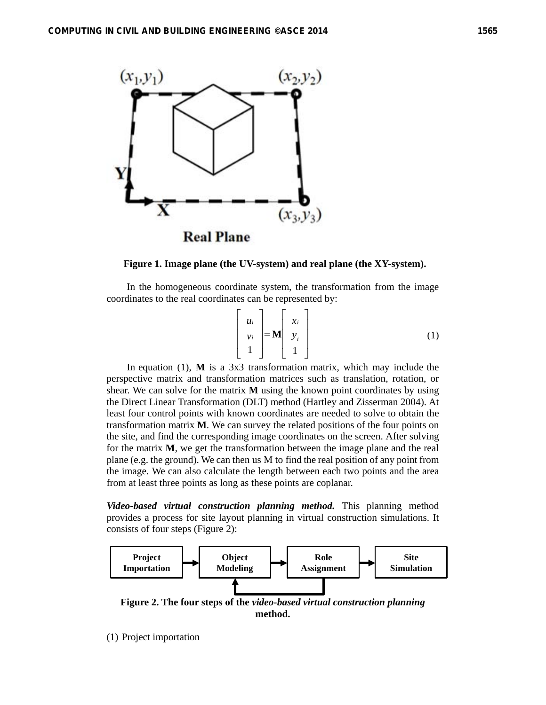

 **Figure 1. Image plane (the UV-system) and real plane (the XY-system).** 

In the homogeneous coordinate system, the transformation from the image coordinates to the real coordinates can be represented by:

 $\mathbf{r}$ 

 $\mathbf{r}$  $\mathbf{r}$  $\mathsf{L}$ 

L

$$
\begin{bmatrix}\nu_i \\
v_i \\
1\n\end{bmatrix} = \mathbf{M} \begin{bmatrix}\nx_i \\
y_i \\
1\n\end{bmatrix}
$$
\n(1)

In equation (1), **M** is a 3x3 transformation matrix, which may include the perspective matrix and transformation matrices such as translation, rotation, or shear. We can solve for the matrix **M** using the known point coordinates by using the Direct Linear Transformation (DLT) method (Hartley and Zisserman 2004). At least four control points with known coordinates are needed to solve to obtain the transformation matrix **M**. We can survey the related positions of the four points on the site, and find the corresponding image coordinates on the screen. After solving for the matrix **M**, we get the transformation between the image plane and the real plane (e.g. the ground). We can then us M to find the real position of any point from the image. We can also calculate the length between each two points and the area from at least three points as long as these points are coplanar.

*Video-based virtual construction planning method.* This planning method provides a process for site layout planning in virtual construction simulations. It consists of four steps (Figure 2):



**Figure 2. The four steps of the** *video-based virtual construction planning*  **method.** 

(1) Project importation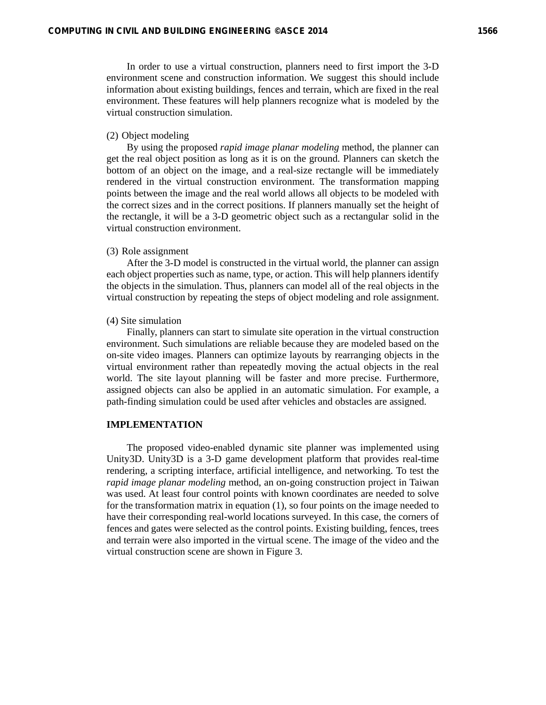In order to use a virtual construction, planners need to first import the 3-D environment scene and construction information. We suggest this should include information about existing buildings, fences and terrain, which are fixed in the real environment. These features will help planners recognize what is modeled by the virtual construction simulation.

#### (2) Object modeling

By using the proposed *rapid image planar modeling* method, the planner can get the real object position as long as it is on the ground. Planners can sketch the bottom of an object on the image, and a real-size rectangle will be immediately rendered in the virtual construction environment. The transformation mapping points between the image and the real world allows all objects to be modeled with the correct sizes and in the correct positions. If planners manually set the height of the rectangle, it will be a 3-D geometric object such as a rectangular solid in the virtual construction environment.

#### (3) Role assignment

After the 3-D model is constructed in the virtual world, the planner can assign each object properties such as name, type, or action. This will help planners identify the objects in the simulation. Thus, planners can model all of the real objects in the virtual construction by repeating the steps of object modeling and role assignment.

#### (4) Site simulation

Finally, planners can start to simulate site operation in the virtual construction environment. Such simulations are reliable because they are modeled based on the on-site video images. Planners can optimize layouts by rearranging objects in the virtual environment rather than repeatedly moving the actual objects in the real world. The site layout planning will be faster and more precise. Furthermore, assigned objects can also be applied in an automatic simulation. For example, a path-finding simulation could be used after vehicles and obstacles are assigned.

#### **IMPLEMENTATION**

The proposed video-enabled dynamic site planner was implemented using Unity3D. Unity3D is a 3-D game development platform that provides real-time rendering, a scripting interface, artificial intelligence, and networking. To test the *rapid image planar modeling* method, an on-going construction project in Taiwan was used. At least four control points with known coordinates are needed to solve for the transformation matrix in equation (1), so four points on the image needed to have their corresponding real-world locations surveyed. In this case, the corners of fences and gates were selected as the control points. Existing building, fences, trees and terrain were also imported in the virtual scene. The image of the video and the virtual construction scene are shown in Figure 3.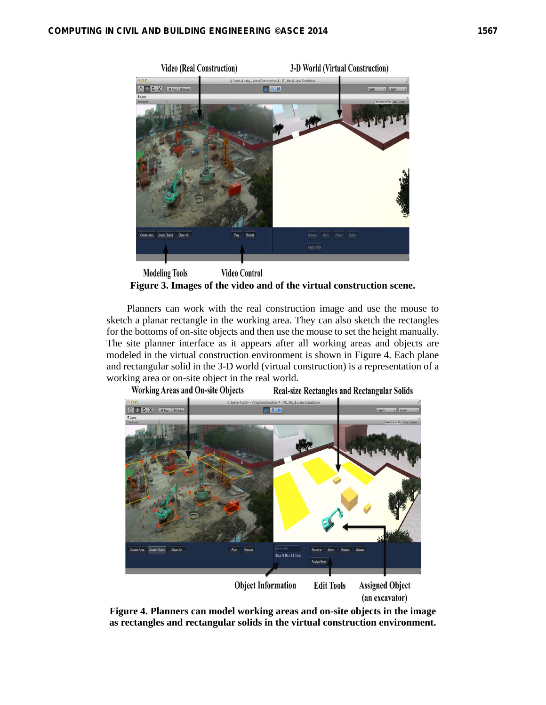

**Modeling Tools Video Control Figure 3. Images of the video and of the virtual construction scene.** 

Planners can work with the real construction image and use the mouse to sketch a planar rectangle in the working area. They can also sketch the rectangles for the bottoms of on-site objects and then use the mouse to set the height manually. The site planner interface as it appears after all working areas and objects are modeled in the virtual construction environment is shown in Figure 4. Each plane and rectangular solid in the 3-D world (virtual construction) is a representation of a working area or on-site object in the real world.



**Working Areas and On-site Objects Real-size Rectangles and Rectangular Solids** 

**Figure 4. Planners can model working areas and on-site objects in the image as rectangles and rectangular solids in the virtual construction environment.**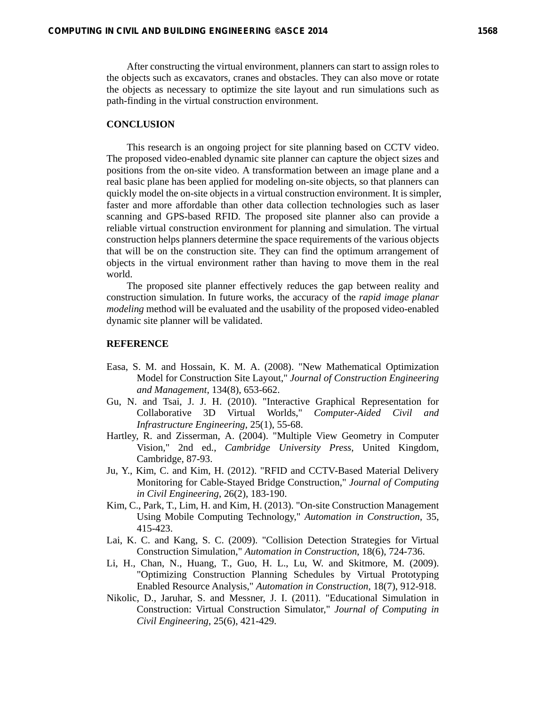After constructing the virtual environment, planners can start to assign roles to the objects such as excavators, cranes and obstacles. They can also move or rotate the objects as necessary to optimize the site layout and run simulations such as path-finding in the virtual construction environment.

## **CONCLUSION**

This research is an ongoing project for site planning based on CCTV video. The proposed video-enabled dynamic site planner can capture the object sizes and positions from the on-site video. A transformation between an image plane and a real basic plane has been applied for modeling on-site objects, so that planners can quickly model the on-site objects in a virtual construction environment. It is simpler, faster and more affordable than other data collection technologies such as laser scanning and GPS-based RFID. The proposed site planner also can provide a reliable virtual construction environment for planning and simulation. The virtual construction helps planners determine the space requirements of the various objects that will be on the construction site. They can find the optimum arrangement of objects in the virtual environment rather than having to move them in the real world.

The proposed site planner effectively reduces the gap between reality and construction simulation. In future works, the accuracy of the *rapid image planar modeling* method will be evaluated and the usability of the proposed video-enabled dynamic site planner will be validated.

## **REFERENCE**

- Easa, S. M. and Hossain, K. M. A. (2008). "New Mathematical Optimization Model for Construction Site Layout," *Journal of Construction Engineering and Management*, 134(8), 653-662.
- Gu, N. and Tsai, J. J. H. (2010). "Interactive Graphical Representation for Collaborative 3D Virtual Worlds," *Computer-Aided Civil and Infrastructure Engineering*, 25(1), 55-68.
- Hartley, R. and Zisserman, A. (2004). "Multiple View Geometry in Computer Vision," 2nd ed., *Cambridge University Press*, United Kingdom, Cambridge, 87-93.
- Ju, Y., Kim, C. and Kim, H. (2012). "RFID and CCTV-Based Material Delivery Monitoring for Cable-Stayed Bridge Construction," *Journal of Computing in Civil Engineering*, 26(2), 183-190.
- Kim, C., Park, T., Lim, H. and Kim, H. (2013). "On-site Construction Management Using Mobile Computing Technology," *Automation in Construction*, 35, 415-423.
- Lai, K. C. and Kang, S. C. (2009). "Collision Detection Strategies for Virtual Construction Simulation," *Automation in Construction*, 18(6), 724-736.
- Li, H., Chan, N., Huang, T., Guo, H. L., Lu, W. and Skitmore, M. (2009). "Optimizing Construction Planning Schedules by Virtual Prototyping Enabled Resource Analysis," *Automation in Construction*, 18(7), 912-918.
- Nikolic, D., Jaruhar, S. and Messner, J. I. (2011). "Educational Simulation in Construction: Virtual Construction Simulator," *Journal of Computing in Civil Engineering*, 25(6), 421-429.